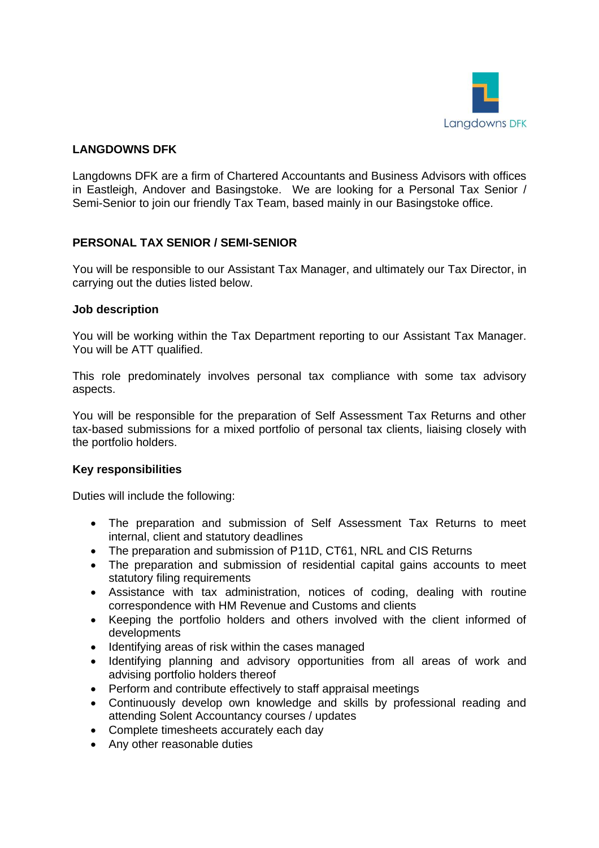

## **LANGDOWNS DFK**

Langdowns DFK are a firm of Chartered Accountants and Business Advisors with offices in Eastleigh, Andover and Basingstoke. We are looking for a Personal Tax Senior / Semi-Senior to join our friendly Tax Team, based mainly in our Basingstoke office.

# **PERSONAL TAX SENIOR / SEMI-SENIOR**

You will be responsible to our Assistant Tax Manager, and ultimately our Tax Director, in carrying out the duties listed below.

### **Job description**

You will be working within the Tax Department reporting to our Assistant Tax Manager. You will be ATT qualified.

This role predominately involves personal tax compliance with some tax advisory aspects.

You will be responsible for the preparation of Self Assessment Tax Returns and other tax-based submissions for a mixed portfolio of personal tax clients, liaising closely with the portfolio holders.

### **Key responsibilities**

Duties will include the following:

- The preparation and submission of Self Assessment Tax Returns to meet internal, client and statutory deadlines
- The preparation and submission of P11D, CT61, NRL and CIS Returns
- The preparation and submission of residential capital gains accounts to meet statutory filing requirements
- Assistance with tax administration, notices of coding, dealing with routine correspondence with HM Revenue and Customs and clients
- Keeping the portfolio holders and others involved with the client informed of developments
- Identifying areas of risk within the cases managed
- Identifying planning and advisory opportunities from all areas of work and advising portfolio holders thereof
- Perform and contribute effectively to staff appraisal meetings
- Continuously develop own knowledge and skills by professional reading and attending Solent Accountancy courses / updates
- Complete timesheets accurately each day
- Any other reasonable duties